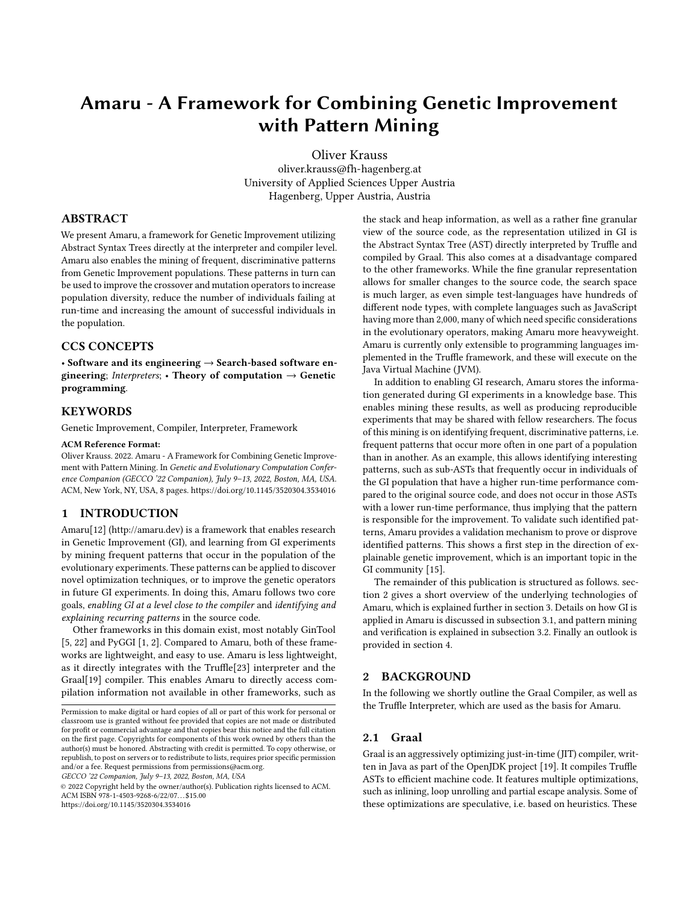# Amaru - A Framework for Combining Genetic Improvement with Pattern Mining

[Oliver Krauss](https://orcid.org/0000-0002-8136-2606)

oliver.krauss@fh-hagenberg.at University of Applied Sciences Upper Austria Hagenberg, Upper Austria, Austria

# ABSTRACT

We present Amaru, a framework for Genetic Improvement utilizing Abstract Syntax Trees directly at the interpreter and compiler level. Amaru also enables the mining of frequent, discriminative patterns from Genetic Improvement populations. These patterns in turn can be used to improve the crossover and mutation operators to increase population diversity, reduce the number of individuals failing at run-time and increasing the amount of successful individuals in the population.

## CCS CONCEPTS

• Software and its engineering → Search-based software engineering; Interpreters; • Theory of computation  $\rightarrow$  Genetic programming.

## **KEYWORDS**

Genetic Improvement, Compiler, Interpreter, Framework

#### ACM Reference Format:

Oliver Krauss. 2022. Amaru - A Framework for Combining Genetic Improvement with Pattern Mining. In Genetic and Evolutionary Computation Conference Companion (GECCO '22 Companion), July 9–13, 2022, Boston, MA, USA. ACM, New York, NY, USA, [8](#page-7-0) pages.<https://doi.org/10.1145/3520304.3534016>

## 1 INTRODUCTION

Amaru[\[12\]](#page-6-0) [\(http://amaru.dev\)](http://amaru.dev) is a framework that enables research in Genetic Improvement (GI), and learning from GI experiments by mining frequent patterns that occur in the population of the evolutionary experiments. These patterns can be applied to discover novel optimization techniques, or to improve the genetic operators in future GI experiments. In doing this, Amaru follows two core goals, enabling GI at a level close to the compiler and identifying and explaining recurring patterns in the source code.

Other frameworks in this domain exist, most notably GinTool [\[5,](#page-6-1) [22\]](#page-7-1) and PyGGI [\[1,](#page-6-2) [2\]](#page-6-3). Compared to Amaru, both of these frameworks are lightweight, and easy to use. Amaru is less lightweight, as it directly integrates with the Truffle[\[23\]](#page-7-2) interpreter and the Graal[\[19\]](#page-7-3) compiler. This enables Amaru to directly access compilation information not available in other frameworks, such as

GECCO '22 Companion, July 9–13, 2022, Boston, MA, USA

© 2022 Copyright held by the owner/author(s). Publication rights licensed to ACM. ACM ISBN 978-1-4503-9268-6/22/07. . . \$15.00 <https://doi.org/10.1145/3520304.3534016>

the stack and heap information, as well as a rather fine granular view of the source code, as the representation utilized in GI is the Abstract Syntax Tree (AST) directly interpreted by Truffle and compiled by Graal. This also comes at a disadvantage compared to the other frameworks. While the fine granular representation allows for smaller changes to the source code, the search space is much larger, as even simple test-languages have hundreds of different node types, with complete languages such as JavaScript having more than 2,000, many of which need specific considerations in the evolutionary operators, making Amaru more heavyweight. Amaru is currently only extensible to programming languages implemented in the Truffle framework, and these will execute on the Java Virtual Machine (JVM).

In addition to enabling GI research, Amaru stores the information generated during GI experiments in a knowledge base. This enables mining these results, as well as producing reproducible experiments that may be shared with fellow researchers. The focus of this mining is on identifying frequent, discriminative patterns, i.e. frequent patterns that occur more often in one part of a population than in another. As an example, this allows identifying interesting patterns, such as sub-ASTs that frequently occur in individuals of the GI population that have a higher run-time performance compared to the original source code, and does not occur in those ASTs with a lower run-time performance, thus implying that the pattern is responsible for the improvement. To validate such identified patterns, Amaru provides a validation mechanism to prove or disprove identified patterns. This shows a first step in the direction of explainable genetic improvement, which is an important topic in the GI community [\[15\]](#page-7-4).

The remainder of this publication is structured as follows. [sec](#page-0-0)[tion 2](#page-0-0) gives a short overview of the underlying technologies of Amaru, which is explained further in [section 3.](#page-1-0) Details on how GI is applied in Amaru is discussed in [subsection 3.1,](#page-3-0) and pattern mining and verification is explained in [subsection 3.2.](#page-5-0) Finally an outlook is provided in [section 4.](#page-6-4)

# <span id="page-0-0"></span>2 BACKGROUND

In the following we shortly outline the Graal Compiler, as well as the Truffle Interpreter, which are used as the basis for Amaru.

#### 2.1 Graal

Graal is an aggressively optimizing just-in-time (JIT) compiler, written in Java as part of the OpenJDK project [\[19\]](#page-7-3). It compiles Truffle ASTs to efficient machine code. It features multiple optimizations, such as inlining, loop unrolling and partial escape analysis. Some of these optimizations are speculative, i.e. based on heuristics. These

Permission to make digital or hard copies of all or part of this work for personal or classroom use is granted without fee provided that copies are not made or distributed for profit or commercial advantage and that copies bear this notice and the full citation on the first page. Copyrights for components of this work owned by others than the author(s) must be honored. Abstracting with credit is permitted. To copy otherwise, or republish, to post on servers or to redistribute to lists, requires prior specific permission and/or a fee. Request permissions from permissions@acm.org.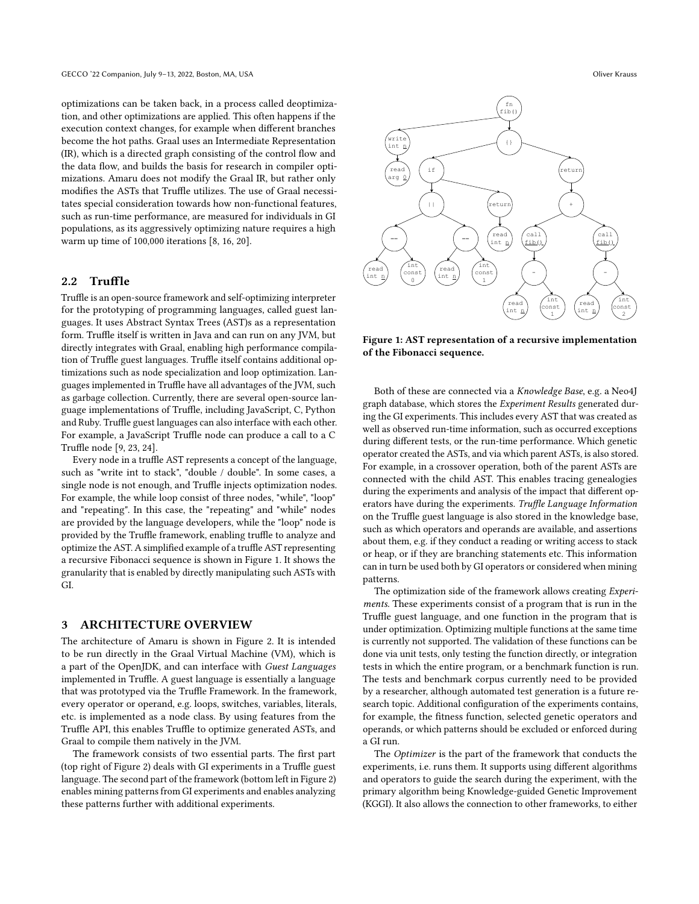optimizations can be taken back, in a process called deoptimization, and other optimizations are applied. This often happens if the execution context changes, for example when different branches become the hot paths. Graal uses an Intermediate Representation (IR), which is a directed graph consisting of the control flow and the data flow, and builds the basis for research in compiler optimizations. Amaru does not modify the Graal IR, but rather only modifies the ASTs that Truffle utilizes. The use of Graal necessitates special consideration towards how non-functional features, such as run-time performance, are measured for individuals in GI populations, as its aggressively optimizing nature requires a high warm up time of 100,000 iterations [\[8,](#page-6-5) [16,](#page-7-5) [20\]](#page-7-6).

# 2.2 Truffle

Truffle is an open-source framework and self-optimizing interpreter for the prototyping of programming languages, called guest languages. It uses Abstract Syntax Trees (AST)s as a representation form. Truffle itself is written in Java and can run on any JVM, but directly integrates with Graal, enabling high performance compilation of Truffle guest languages. Truffle itself contains additional optimizations such as node specialization and loop optimization. Languages implemented in Truffle have all advantages of the JVM, such as garbage collection. Currently, there are several open-source language implementations of Truffle, including JavaScript, C, Python and Ruby. Truffle guest languages can also interface with each other. For example, a JavaScript Truffle node can produce a call to a C Truffle node [\[9,](#page-6-6) [23,](#page-7-2) [24\]](#page-7-7).

Every node in a truffle AST represents a concept of the language, such as "write int to stack", "double / double". In some cases, a single node is not enough, and Truffle injects optimization nodes. For example, the while loop consist of three nodes, "while", "loop" and "repeating". In this case, the "repeating" and "while" nodes are provided by the language developers, while the "loop" node is provided by the Truffle framework, enabling truffle to analyze and optimize the AST. A simplified example of a truffle AST representing a recursive Fibonacci sequence is shown in [Figure 1.](#page-1-1) It shows the granularity that is enabled by directly manipulating such ASTs with GI.

## <span id="page-1-0"></span>3 ARCHITECTURE OVERVIEW

The architecture of Amaru is shown in [Figure 2.](#page-2-0) It is intended to be run directly in the Graal Virtual Machine (VM), which is a part of the OpenJDK, and can interface with Guest Languages implemented in Truffle. A guest language is essentially a language that was prototyped via the Truffle Framework. In the framework, every operator or operand, e.g. loops, switches, variables, literals, etc. is implemented as a node class. By using features from the Truffle API, this enables Truffle to optimize generated ASTs, and Graal to compile them natively in the JVM.

The framework consists of two essential parts. The first part (top right of [Figure 2\)](#page-2-0) deals with GI experiments in a Truffle guest language. The second part of the framework (bottom left in [Figure 2\)](#page-2-0) enables mining patterns from GI experiments and enables analyzing these patterns further with additional experiments.

<span id="page-1-1"></span>

Figure 1: AST representation of a recursive implementation of the Fibonacci sequence.

Both of these are connected via a Knowledge Base, e.g. a Neo4J graph database, which stores the Experiment Results generated during the GI experiments. This includes every AST that was created as well as observed run-time information, such as occurred exceptions during different tests, or the run-time performance. Which genetic operator created the ASTs, and via which parent ASTs, is also stored. For example, in a crossover operation, both of the parent ASTs are connected with the child AST. This enables tracing genealogies during the experiments and analysis of the impact that different operators have during the experiments. Truffle Language Information on the Truffle guest language is also stored in the knowledge base, such as which operators and operands are available, and assertions about them, e.g. if they conduct a reading or writing access to stack or heap, or if they are branching statements etc. This information can in turn be used both by GI operators or considered when mining patterns.

The optimization side of the framework allows creating Experiments. These experiments consist of a program that is run in the Truffle guest language, and one function in the program that is under optimization. Optimizing multiple functions at the same time is currently not supported. The validation of these functions can be done via unit tests, only testing the function directly, or integration tests in which the entire program, or a benchmark function is run. The tests and benchmark corpus currently need to be provided by a researcher, although automated test generation is a future research topic. Additional configuration of the experiments contains, for example, the fitness function, selected genetic operators and operands, or which patterns should be excluded or enforced during a GI run.

The Optimizer is the part of the framework that conducts the experiments, i.e. runs them. It supports using different algorithms and operators to guide the search during the experiment, with the primary algorithm being Knowledge-guided Genetic Improvement (KGGI). It also allows the connection to other frameworks, to either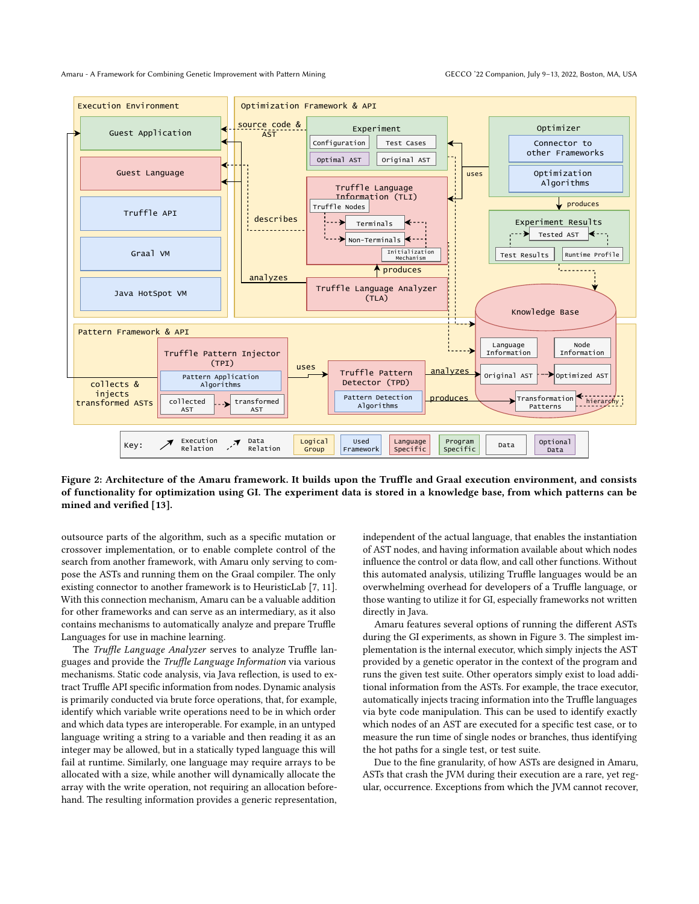Amaru - A Framework for Combining Genetic Improvement with Pattern Mining GECCO '22 Companion, July 9-13, 2022, Boston, MA, USA

<span id="page-2-0"></span>

Figure 2: Architecture of the Amaru framework. It builds upon the Truffle and Graal execution environment, and consists of functionality for optimization using GI. The experiment data is stored in a knowledge base, from which patterns can be mined and verified [\[13\]](#page-6-7).

outsource parts of the algorithm, such as a specific mutation or crossover implementation, or to enable complete control of the search from another framework, with Amaru only serving to compose the ASTs and running them on the Graal compiler. The only existing connector to another framework is to HeuristicLab [\[7,](#page-6-8) [11\]](#page-6-9). With this connection mechanism, Amaru can be a valuable addition for other frameworks and can serve as an intermediary, as it also contains mechanisms to automatically analyze and prepare Truffle Languages for use in machine learning.

The Truffle Language Analyzer serves to analyze Truffle languages and provide the Truffle Language Information via various mechanisms. Static code analysis, via Java reflection, is used to extract Truffle API specific information from nodes. Dynamic analysis is primarily conducted via brute force operations, that, for example, identify which variable write operations need to be in which order and which data types are interoperable. For example, in an untyped language writing a string to a variable and then reading it as an integer may be allowed, but in a statically typed language this will fail at runtime. Similarly, one language may require arrays to be allocated with a size, while another will dynamically allocate the array with the write operation, not requiring an allocation beforehand. The resulting information provides a generic representation,

independent of the actual language, that enables the instantiation of AST nodes, and having information available about which nodes influence the control or data flow, and call other functions. Without this automated analysis, utilizing Truffle languages would be an overwhelming overhead for developers of a Truffle language, or those wanting to utilize it for GI, especially frameworks not written directly in Java.

Amaru features several options of running the different ASTs during the GI experiments, as shown in [Figure 3.](#page-4-0) The simplest implementation is the internal executor, which simply injects the AST provided by a genetic operator in the context of the program and runs the given test suite. Other operators simply exist to load additional information from the ASTs. For example, the trace executor, automatically injects tracing information into the Truffle languages via byte code manipulation. This can be used to identify exactly which nodes of an AST are executed for a specific test case, or to measure the run time of single nodes or branches, thus identifying the hot paths for a single test, or test suite.

Due to the fine granularity, of how ASTs are designed in Amaru, ASTs that crash the JVM during their execution are a rare, yet regular, occurrence. Exceptions from which the JVM cannot recover,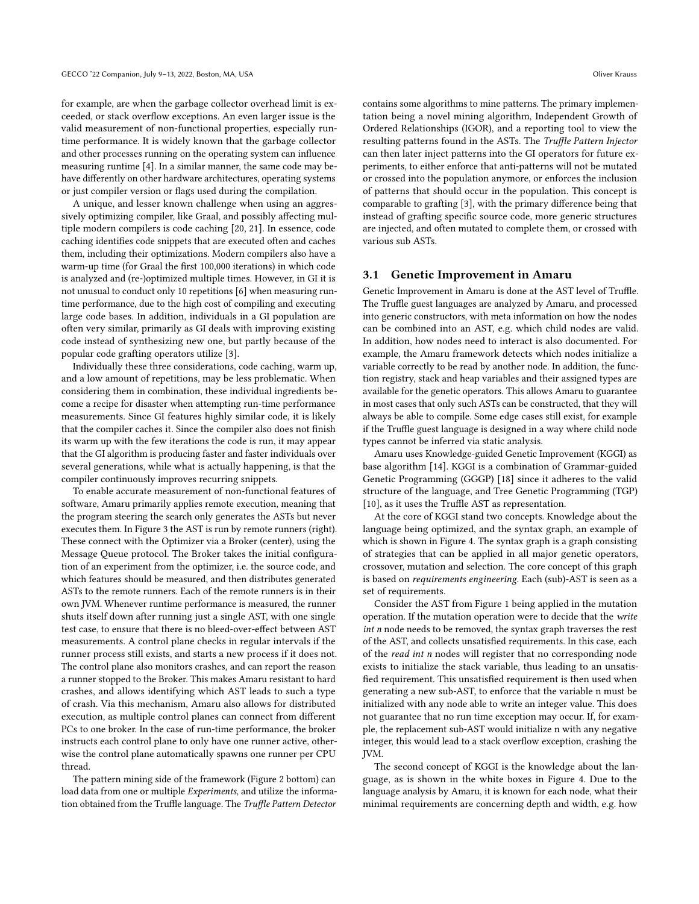for example, are when the garbage collector overhead limit is exceeded, or stack overflow exceptions. An even larger issue is the valid measurement of non-functional properties, especially runtime performance. It is widely known that the garbage collector and other processes running on the operating system can influence measuring runtime [\[4\]](#page-6-10). In a similar manner, the same code may behave differently on other hardware architectures, operating systems or just compiler version or flags used during the compilation.

A unique, and lesser known challenge when using an aggressively optimizing compiler, like Graal, and possibly affecting multiple modern compilers is code caching [\[20,](#page-7-6) [21\]](#page-7-8). In essence, code caching identifies code snippets that are executed often and caches them, including their optimizations. Modern compilers also have a warm-up time (for Graal the first 100,000 iterations) in which code is analyzed and (re-)optimized multiple times. However, in GI it is not unusual to conduct only 10 repetitions [\[6\]](#page-6-11) when measuring runtime performance, due to the high cost of compiling and executing large code bases. In addition, individuals in a GI population are often very similar, primarily as GI deals with improving existing code instead of synthesizing new one, but partly because of the popular code grafting operators utilize [\[3\]](#page-6-12).

Individually these three considerations, code caching, warm up, and a low amount of repetitions, may be less problematic. When considering them in combination, these individual ingredients become a recipe for disaster when attempting run-time performance measurements. Since GI features highly similar code, it is likely that the compiler caches it. Since the compiler also does not finish its warm up with the few iterations the code is run, it may appear that the GI algorithm is producing faster and faster individuals over several generations, while what is actually happening, is that the compiler continuously improves recurring snippets.

To enable accurate measurement of non-functional features of software, Amaru primarily applies remote execution, meaning that the program steering the search only generates the ASTs but never executes them. In [Figure 3](#page-4-0) the AST is run by remote runners (right). These connect with the Optimizer via a Broker (center), using the Message Queue protocol. The Broker takes the initial configuration of an experiment from the optimizer, i.e. the source code, and which features should be measured, and then distributes generated ASTs to the remote runners. Each of the remote runners is in their own JVM. Whenever runtime performance is measured, the runner shuts itself down after running just a single AST, with one single test case, to ensure that there is no bleed-over-effect between AST measurements. A control plane checks in regular intervals if the runner process still exists, and starts a new process if it does not. The control plane also monitors crashes, and can report the reason a runner stopped to the Broker. This makes Amaru resistant to hard crashes, and allows identifying which AST leads to such a type of crash. Via this mechanism, Amaru also allows for distributed execution, as multiple control planes can connect from different PCs to one broker. In the case of run-time performance, the broker instructs each control plane to only have one runner active, otherwise the control plane automatically spawns one runner per CPU thread.

The pattern mining side of the framework [\(Figure 2](#page-2-0) bottom) can load data from one or multiple Experiments, and utilize the information obtained from the Truffle language. The Truffle Pattern Detector contains some algorithms to mine patterns. The primary implementation being a novel mining algorithm, Independent Growth of Ordered Relationships (IGOR), and a reporting tool to view the resulting patterns found in the ASTs. The Truffle Pattern Injector can then later inject patterns into the GI operators for future experiments, to either enforce that anti-patterns will not be mutated or crossed into the population anymore, or enforces the inclusion of patterns that should occur in the population. This concept is comparable to grafting [\[3\]](#page-6-12), with the primary difference being that instead of grafting specific source code, more generic structures are injected, and often mutated to complete them, or crossed with various sub ASTs.

#### <span id="page-3-0"></span>3.1 Genetic Improvement in Amaru

Genetic Improvement in Amaru is done at the AST level of Truffle. The Truffle guest languages are analyzed by Amaru, and processed into generic constructors, with meta information on how the nodes can be combined into an AST, e.g. which child nodes are valid. In addition, how nodes need to interact is also documented. For example, the Amaru framework detects which nodes initialize a variable correctly to be read by another node. In addition, the function registry, stack and heap variables and their assigned types are available for the genetic operators. This allows Amaru to guarantee in most cases that only such ASTs can be constructed, that they will always be able to compile. Some edge cases still exist, for example if the Truffle guest language is designed in a way where child node types cannot be inferred via static analysis.

Amaru uses Knowledge-guided Genetic Improvement (KGGI) as base algorithm [\[14\]](#page-7-9). KGGI is a combination of Grammar-guided Genetic Programming (GGGP) [\[18\]](#page-7-10) since it adheres to the valid structure of the language, and Tree Genetic Programming (TGP) [\[10\]](#page-6-13), as it uses the Truffle AST as representation.

At the core of KGGI stand two concepts. Knowledge about the language being optimized, and the syntax graph, an example of which is shown in [Figure 4.](#page-4-1) The syntax graph is a graph consisting of strategies that can be applied in all major genetic operators, crossover, mutation and selection. The core concept of this graph is based on requirements engineering. Each (sub)-AST is seen as a set of requirements.

Consider the AST from [Figure 1](#page-1-1) being applied in the mutation operation. If the mutation operation were to decide that the write int n node needs to be removed, the syntax graph traverses the rest of the AST, and collects unsatisfied requirements. In this case, each of the read int n nodes will register that no corresponding node exists to initialize the stack variable, thus leading to an unsatisfied requirement. This unsatisfied requirement is then used when generating a new sub-AST, to enforce that the variable n must be initialized with any node able to write an integer value. This does not guarantee that no run time exception may occur. If, for example, the replacement sub-AST would initialize n with any negative integer, this would lead to a stack overflow exception, crashing the JVM.

The second concept of KGGI is the knowledge about the language, as is shown in the white boxes in [Figure 4.](#page-4-1) Due to the language analysis by Amaru, it is known for each node, what their minimal requirements are concerning depth and width, e.g. how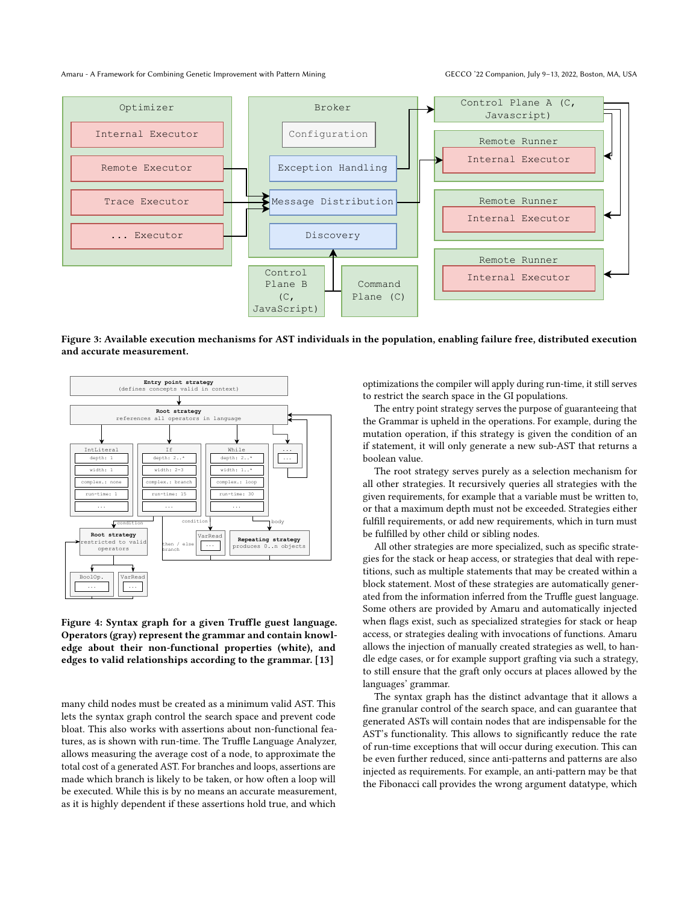#### Amaru - A Framework for Combining Genetic Improvement with Pattern Mining GECCO '22 Companion, July 9-13, 2022, Boston, MA, USA

<span id="page-4-0"></span>

Figure 3: Available execution mechanisms for AST individuals in the population, enabling failure free, distributed execution and accurate measurement.

<span id="page-4-1"></span>

Figure 4: Syntax graph for a given Truffle guest language. Operators (gray) represent the grammar and contain knowledge about their non-functional properties (white), and edges to valid relationships according to the grammar. [\[13\]](#page-6-7)

many child nodes must be created as a minimum valid AST. This lets the syntax graph control the search space and prevent code bloat. This also works with assertions about non-functional features, as is shown with run-time. The Truffle Language Analyzer, allows measuring the average cost of a node, to approximate the total cost of a generated AST. For branches and loops, assertions are made which branch is likely to be taken, or how often a loop will be executed. While this is by no means an accurate measurement, as it is highly dependent if these assertions hold true, and which

optimizations the compiler will apply during run-time, it still serves to restrict the search space in the GI populations.

The entry point strategy serves the purpose of guaranteeing that the Grammar is upheld in the operations. For example, during the mutation operation, if this strategy is given the condition of an if statement, it will only generate a new sub-AST that returns a boolean value.

The root strategy serves purely as a selection mechanism for all other strategies. It recursively queries all strategies with the given requirements, for example that a variable must be written to, or that a maximum depth must not be exceeded. Strategies either fulfill requirements, or add new requirements, which in turn must be fulfilled by other child or sibling nodes.

All other strategies are more specialized, such as specific strategies for the stack or heap access, or strategies that deal with repetitions, such as multiple statements that may be created within a block statement. Most of these strategies are automatically generated from the information inferred from the Truffle guest language. Some others are provided by Amaru and automatically injected when flags exist, such as specialized strategies for stack or heap access, or strategies dealing with invocations of functions. Amaru allows the injection of manually created strategies as well, to handle edge cases, or for example support grafting via such a strategy, to still ensure that the graft only occurs at places allowed by the languages' grammar.

The syntax graph has the distinct advantage that it allows a fine granular control of the search space, and can guarantee that generated ASTs will contain nodes that are indispensable for the AST's functionality. This allows to significantly reduce the rate of run-time exceptions that will occur during execution. This can be even further reduced, since anti-patterns and patterns are also injected as requirements. For example, an anti-pattern may be that the Fibonacci call provides the wrong argument datatype, which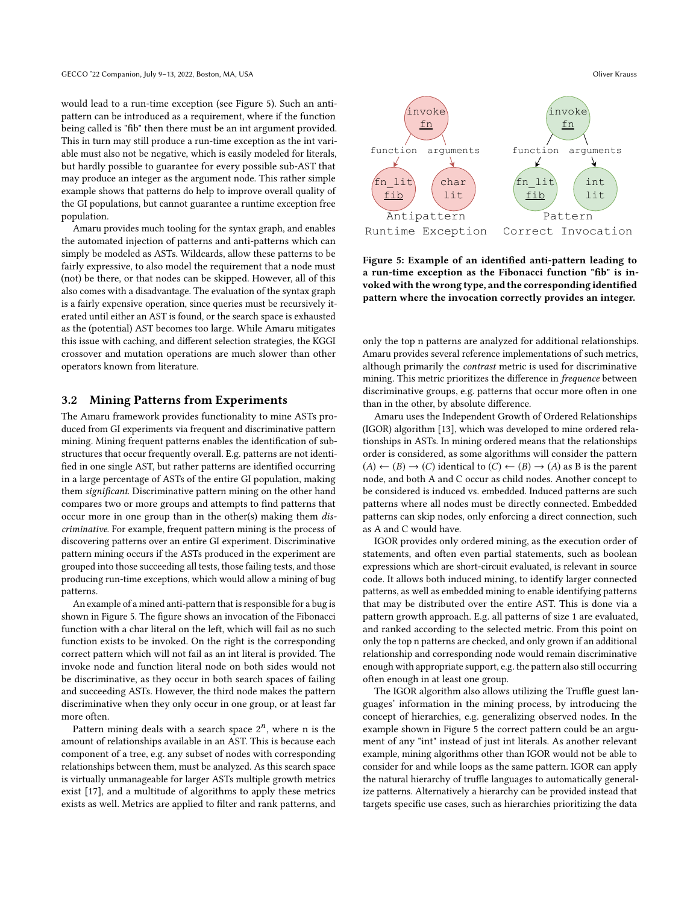would lead to a run-time exception (see [Figure 5\)](#page-5-1). Such an antipattern can be introduced as a requirement, where if the function being called is "fib" then there must be an int argument provided. This in turn may still produce a run-time exception as the int variable must also not be negative, which is easily modeled for literals, but hardly possible to guarantee for every possible sub-AST that may produce an integer as the argument node. This rather simple example shows that patterns do help to improve overall quality of the GI populations, but cannot guarantee a runtime exception free population.

Amaru provides much tooling for the syntax graph, and enables the automated injection of patterns and anti-patterns which can simply be modeled as ASTs. Wildcards, allow these patterns to be fairly expressive, to also model the requirement that a node must (not) be there, or that nodes can be skipped. However, all of this also comes with a disadvantage. The evaluation of the syntax graph is a fairly expensive operation, since queries must be recursively iterated until either an AST is found, or the search space is exhausted as the (potential) AST becomes too large. While Amaru mitigates this issue with caching, and different selection strategies, the KGGI crossover and mutation operations are much slower than other operators known from literature.

#### <span id="page-5-0"></span>3.2 Mining Patterns from Experiments

The Amaru framework provides functionality to mine ASTs produced from GI experiments via frequent and discriminative pattern mining. Mining frequent patterns enables the identification of substructures that occur frequently overall. E.g. patterns are not identified in one single AST, but rather patterns are identified occurring in a large percentage of ASTs of the entire GI population, making them significant. Discriminative pattern mining on the other hand compares two or more groups and attempts to find patterns that occur more in one group than in the other(s) making them discriminative. For example, frequent pattern mining is the process of discovering patterns over an entire GI experiment. Discriminative pattern mining occurs if the ASTs produced in the experiment are grouped into those succeeding all tests, those failing tests, and those producing run-time exceptions, which would allow a mining of bug patterns.

An example of a mined anti-pattern that is responsible for a bug is shown in [Figure 5.](#page-5-1) The figure shows an invocation of the Fibonacci function with a char literal on the left, which will fail as no such function exists to be invoked. On the right is the corresponding correct pattern which will not fail as an int literal is provided. The invoke node and function literal node on both sides would not be discriminative, as they occur in both search spaces of failing and succeeding ASTs. However, the third node makes the pattern discriminative when they only occur in one group, or at least far more often.

Pattern mining deals with a search space  $2<sup>n</sup>$ , where n is the amount of relationships available in an AST. This is because each component of a tree, e.g. any subset of nodes with corresponding relationships between them, must be analyzed. As this search space is virtually unmanageable for larger ASTs multiple growth metrics exist [\[17\]](#page-7-11), and a multitude of algorithms to apply these metrics exists as well. Metrics are applied to filter and rank patterns, and

<span id="page-5-1"></span>

Figure 5: Example of an identified anti-pattern leading to a run-time exception as the Fibonacci function "fib" is invoked with the wrong type, and the corresponding identified pattern where the invocation correctly provides an integer.

only the top n patterns are analyzed for additional relationships. Amaru provides several reference implementations of such metrics, although primarily the contrast metric is used for discriminative mining. This metric prioritizes the difference in frequence between discriminative groups, e.g. patterns that occur more often in one than in the other, by absolute difference.

Amaru uses the Independent Growth of Ordered Relationships (IGOR) algorithm [\[13\]](#page-6-7), which was developed to mine ordered relationships in ASTs. In mining ordered means that the relationships order is considered, as some algorithms will consider the pattern  $(A) \leftarrow (B) \rightarrow (C)$  identical to  $(C) \leftarrow (B) \rightarrow (A)$  as B is the parent node, and both A and C occur as child nodes. Another concept to be considered is induced vs. embedded. Induced patterns are such patterns where all nodes must be directly connected. Embedded patterns can skip nodes, only enforcing a direct connection, such as A and C would have.

IGOR provides only ordered mining, as the execution order of statements, and often even partial statements, such as boolean expressions which are short-circuit evaluated, is relevant in source code. It allows both induced mining, to identify larger connected patterns, as well as embedded mining to enable identifying patterns that may be distributed over the entire AST. This is done via a pattern growth approach. E.g. all patterns of size 1 are evaluated, and ranked according to the selected metric. From this point on only the top n patterns are checked, and only grown if an additional relationship and corresponding node would remain discriminative enough with appropriate support, e.g. the pattern also still occurring often enough in at least one group.

The IGOR algorithm also allows utilizing the Truffle guest languages' information in the mining process, by introducing the concept of hierarchies, e.g. generalizing observed nodes. In the example shown in [Figure 5](#page-5-1) the correct pattern could be an argument of any "int" instead of just int literals. As another relevant example, mining algorithms other than IGOR would not be able to consider for and while loops as the same pattern. IGOR can apply the natural hierarchy of truffle languages to automatically generalize patterns. Alternatively a hierarchy can be provided instead that targets specific use cases, such as hierarchies prioritizing the data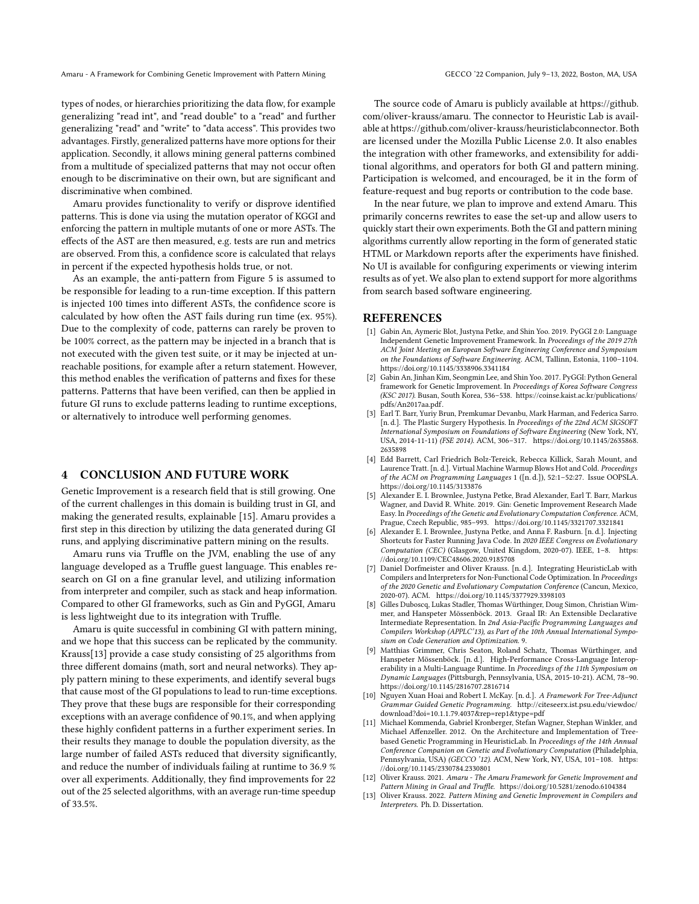Amaru - A Framework for Combining Genetic Improvement with Pattern Mining GECCO '22 Companion, July 9-13, 2022, Boston, MA, USA

types of nodes, or hierarchies prioritizing the data flow, for example generalizing "read int", and "read double" to a "read" and further generalizing "read" and "write" to "data access". This provides two advantages. Firstly, generalized patterns have more options for their application. Secondly, it allows mining general patterns combined from a multitude of specialized patterns that may not occur often enough to be discriminative on their own, but are significant and discriminative when combined.

Amaru provides functionality to verify or disprove identified patterns. This is done via using the mutation operator of KGGI and enforcing the pattern in multiple mutants of one or more ASTs. The effects of the AST are then measured, e.g. tests are run and metrics are observed. From this, a confidence score is calculated that relays in percent if the expected hypothesis holds true, or not.

As an example, the anti-pattern from [Figure 5](#page-5-1) is assumed to be responsible for leading to a run-time exception. If this pattern is injected 100 times into different ASTs, the confidence score is calculated by how often the AST fails during run time (ex. 95%). Due to the complexity of code, patterns can rarely be proven to be 100% correct, as the pattern may be injected in a branch that is not executed with the given test suite, or it may be injected at unreachable positions, for example after a return statement. However, this method enables the verification of patterns and fixes for these patterns. Patterns that have been verified, can then be applied in future GI runs to exclude patterns leading to runtime exceptions, or alternatively to introduce well performing genomes.

## <span id="page-6-4"></span>4 CONCLUSION AND FUTURE WORK

Genetic Improvement is a research field that is still growing. One of the current challenges in this domain is building trust in GI, and making the generated results, explainable [\[15\]](#page-7-4). Amaru provides a first step in this direction by utilizing the data generated during GI runs, and applying discriminative pattern mining on the results.

Amaru runs via Truffle on the JVM, enabling the use of any language developed as a Truffle guest language. This enables research on GI on a fine granular level, and utilizing information from interpreter and compiler, such as stack and heap information. Compared to other GI frameworks, such as Gin and PyGGI, Amaru is less lightweight due to its integration with Truffle.

Amaru is quite successful in combining GI with pattern mining, and we hope that this success can be replicated by the community. [Krauss\[13\]](#page-6-7) provide a case study consisting of 25 algorithms from three different domains (math, sort and neural networks). They apply pattern mining to these experiments, and identify several bugs that cause most of the GI populations to lead to run-time exceptions. They prove that these bugs are responsible for their corresponding exceptions with an average confidence of 90.1%, and when applying these highly confident patterns in a further experiment series. In their results they manage to double the population diversity, as the large number of failed ASTs reduced that diversity significantly, and reduce the number of individuals failing at runtime to 36.9 % over all experiments. Additionally, they find improvements for 22 out of the 25 selected algorithms, with an average run-time speedup of 33.5%.

The source code of Amaru is publicly available at [https://github.](https://github.com/oliver-krauss/amaru) [com/oliver-krauss/amaru.](https://github.com/oliver-krauss/amaru) The connector to Heuristic Lab is available at [https://github.com/oliver-krauss/heuristiclabconnector.](https://github.com/oliver-krauss/heuristiclabconnector) Both are licensed under the Mozilla Public License 2.0. It also enables the integration with other frameworks, and extensibility for additional algorithms, and operators for both GI and pattern mining. Participation is welcomed, and encouraged, be it in the form of feature-request and bug reports or contribution to the code base.

In the near future, we plan to improve and extend Amaru. This primarily concerns rewrites to ease the set-up and allow users to quickly start their own experiments. Both the GI and pattern mining algorithms currently allow reporting in the form of generated static HTML or Markdown reports after the experiments have finished. No UI is available for configuring experiments or viewing interim results as of yet. We also plan to extend support for more algorithms from search based software engineering.

#### **REFERENCES**

- <span id="page-6-2"></span>[1] Gabin An, Aymeric Blot, Justyna Petke, and Shin Yoo. 2019. PyGGI 2.0: Language Independent Genetic Improvement Framework. In Proceedings of the 2019 27th ACM Joint Meeting on European Software Engineering Conference and Symposium on the Foundations of Software Engineering. ACM, Tallinn, Estonia, 1100–1104. <https://doi.org/10.1145/3338906.3341184>
- <span id="page-6-3"></span>[2] Gabin An, Jinhan Kim, Seongmin Lee, and Shin Yoo. 2017. PyGGI: Python General framework for Genetic Improvement. In Proceedings of Korea Software Congress (KSC 2017). Busan, South Korea, 536–538. [https://coinse.kaist.ac.kr/publications/](https://coinse.kaist.ac.kr/publications/pdfs/An2017aa.pdf) [pdfs/An2017aa.pdf.](https://coinse.kaist.ac.kr/publications/pdfs/An2017aa.pdf) [3] Earl T. Barr, Yuriy Brun, Premkumar Devanbu, Mark Harman, and Federica Sarro.
- <span id="page-6-12"></span>[n. d.]. The Plastic Surgery Hypothesis. In Proceedings of the 22nd ACM SIGSOFT International Symposium on Foundations of Software Engineering (New York, NY, USA, 2014-11-11) (FSE 2014). ACM, 306–317. [https://doi.org/10.1145/2635868.](https://doi.org/10.1145/2635868.2635898) [2635898](https://doi.org/10.1145/2635868.2635898)
- <span id="page-6-10"></span>[4] Edd Barrett, Carl Friedrich Bolz-Tereick, Rebecca Killick, Sarah Mount, and Laurence Tratt. [n. d.]. Virtual Machine Warmup Blows Hot and Cold. Proceedings of the ACM on Programming Languages 1 ([n. d.]), 52:1–52:27. Issue OOPSLA. <https://doi.org/10.1145/3133876>
- <span id="page-6-1"></span>[5] Alexander E. I. Brownlee, Justyna Petke, Brad Alexander, Earl T. Barr, Markus Wagner, and David R. White. 2019. Gin: Genetic Improvement Research Made Easy. In Proceedings of the Genetic and Evolutionary Computation Conference. ACM, Prague, Czech Republic, 985–993.<https://doi.org/10.1145/3321707.3321841>
- <span id="page-6-11"></span>[6] Alexander E. I. Brownlee, Justyna Petke, and Anna F. Rasburn. [n. d.]. Injecting Shortcuts for Faster Running Java Code. In 2020 IEEE Congress on Evolutionary Computation (CEC) (Glasgow, United Kingdom, 2020-07). IEEE, 1–8. [https:](https://doi.org/10.1109/CEC48606.2020.9185708) [//doi.org/10.1109/CEC48606.2020.9185708](https://doi.org/10.1109/CEC48606.2020.9185708)
- <span id="page-6-8"></span>[7] Daniel Dorfmeister and Oliver Krauss. [n. d.]. Integrating HeuristicLab with Compilers and Interpreters for Non-Functional Code Optimization. In Proceedings of the 2020 Genetic and Evolutionary Computation Conference (Cancun, Mexico, 2020-07). ACM.<https://doi.org/10.1145/3377929.3398103>
- <span id="page-6-5"></span>[8] Gilles Duboscq, Lukas Stadler, Thomas Würthinger, Doug Simon, Christian Wimmer, and Hanspeter Mössenböck. 2013. Graal IR: An Extensible Declarative Intermediate Representation. In 2nd Asia-Pacific Programming Languages and Compilers Workshop (APPLC'13), as Part of the 10th Annual International Symposium on Code Generation and Optimization. 9.
- <span id="page-6-6"></span>[9] Matthias Grimmer, Chris Seaton, Roland Schatz, Thomas Würthinger, and Hanspeter Mössenböck. [n. d.]. High-Performance Cross-Language Interoperability in a Multi-Language Runtime. In Proceedings of the 11th Symposium on Dynamic Languages (Pittsburgh, Pennsylvania, USA, 2015-10-21). ACM, 78–90. <https://doi.org/10.1145/2816707.2816714>
- <span id="page-6-13"></span>[10] Nguyen Xuan Hoai and Robert I. McKay. [n. d.]. A Framework For Tree-Adjunct Grammar Guided Genetic Programming. [http://citeseerx.ist.psu.edu/viewdoc/](http://citeseerx.ist.psu.edu/viewdoc/download?doi=10.1.1.79.4037&rep=rep1&type=pdf) [download?doi=10.1.1.79.4037&rep=rep1&type=pdf](http://citeseerx.ist.psu.edu/viewdoc/download?doi=10.1.1.79.4037&rep=rep1&type=pdf)
- <span id="page-6-9"></span>[11] Michael Kommenda, Gabriel Kronberger, Stefan Wagner, Stephan Winkler, and Michael Affenzeller. 2012. On the Architecture and Implementation of Treebased Genetic Programming in HeuristicLab. In Proceedings of the 14th Annual Conference Companion on Genetic and Evolutionary Computation (Philadelphia, Pennsylvania, USA) (GECCO '12). ACM, New York, NY, USA, 101-108. [https:](https://doi.org/10.1145/2330784.2330801) [//doi.org/10.1145/2330784.2330801](https://doi.org/10.1145/2330784.2330801)
- <span id="page-6-0"></span>[12] Oliver Krauss. 2021. Amaru - The Amaru Framework for Genetic Improvement and Pattern Mining in Graal and Truffle.<https://doi.org/10.5281/zenodo.6104384>
- <span id="page-6-7"></span>[13] Oliver Krauss. 2022. Pattern Mining and Genetic Improvement in Compilers and Interpreters. Ph. D. Dissertation.